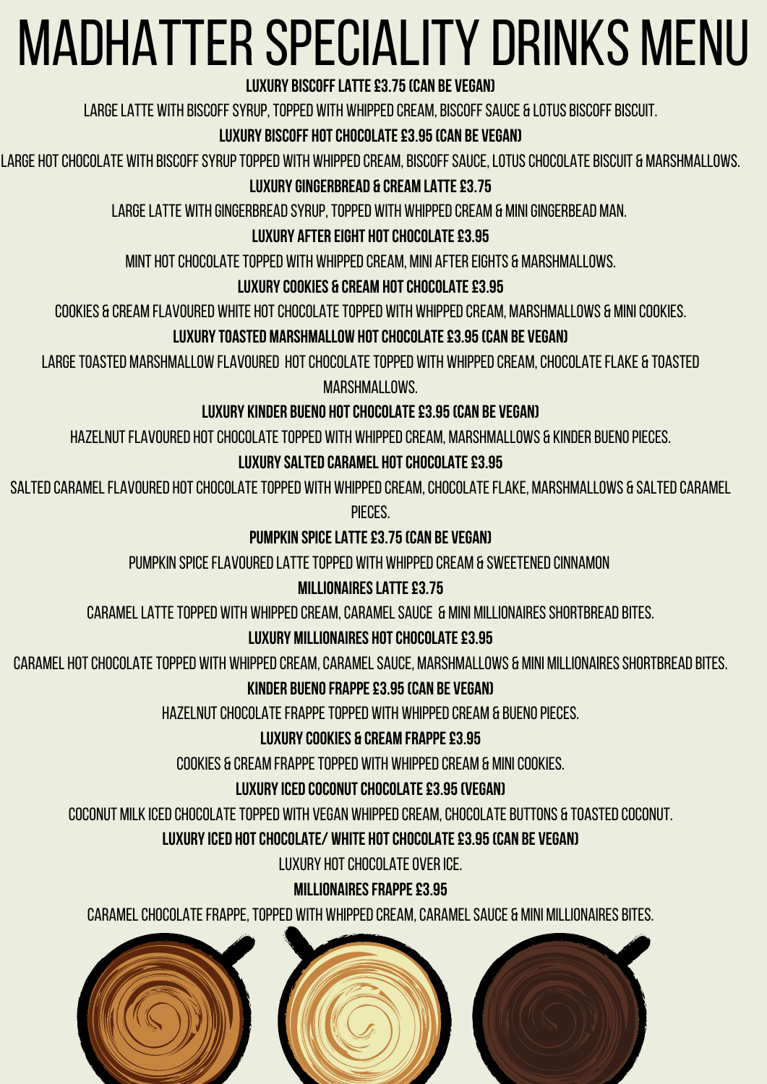# Madhatterspeciality drinks menu

# **Luxury biscofflatte£3.75(can be vegan)**

LARGE LATTE WITH BISCOFF SYRUP, TOPPED WITH WHIPPED CREAM, BISCOFF SAUCE & LOTUS BISCOFF BISCUIT.

# **LUXURY BISCOFF HOT CHOCOLATE £3.95 (CAN BE VEGAN)**

LARGE HOT CHOCOLATE WITH BISCOFF SYRUP TOPPED WITH WHIPPED CREAM, BISCOFF SAUCE, LOTUS CHOCOLATE BISCUIT & MARSHMALLOWS.

# **LUXURY GINGERBREAD & CREAM LATTE £3.75**

LARGE LATTE WITH GINGERBREAD SYRUP, TOPPED WITH WHIPPED CREAM & MINI GINGERBEAD MAN.

# **LUXURY AFTER EIGHT HOT CHOCOLATE £3.95**

MINT HOT CHOCOLATE TOPPED WITH WHIPPED CREAM, MINI AFTER EIGHTS & MARSHMALLOWS.

## **LUXURY COOKIES & CREAM HOT CHOCOLATE £3.95**

COOKIES & CREAM FLAVOURED WHITE HOT CHOCOLATE TOPPED WITH WHIPPED CREAM, MARSHMALLOWS & MINI COOKIES.

#### **LUXURY TOASTED MARSHMALLOW HOT CHOCOLATE £3.95 (CAN BE VEGAN)**

LARGE TOASTED MARSHMALLOW FLAVOURED HOT CHOCOLATE TOPPED WITH WHIPPED CREAM, CHOCOLATE FLAKE & TOASTED marshmallows.

SALTED CARAMEL FLAVOURED HOT CHOCOLATE TOPPED WITH WHIPPED CREAM, CHOCOLATE FLAKE, MARSHMALLOWS & SALTED CARAMEL pieces.

# **Luxury kinder bueno hotchocolate£3.95(can be vegan)**

HAZELNUT FLAVOURED HOT CHOCOLATE TOPPED WITH WHIPPED CREAM, MARSHMALLOWS & KINDER BUENO PIECES.

# **LUXURY SALTED CARAMEL HOT CHOCOLATE £3.95**

# **Pumpkin spicelatte£3.75(can be vegan)**

PUMPKIN SPICE FLAVOURED LATTE TOPPED WITH WHIPPED CREAM & SWEETENED CINNAMON

#### **MILLIONAIRES LATTE £3.75**

## CARAMEL LATTE TOPPED WITH WHIPPED CREAM, CARAMEL SAUCE & MINI MILLIONAIRES SHORTBREAD BITES.

# **LUXURY MILLIONAIRES HOT CHOCOLATE £3.95**

CARAMEL HOT CHOCOLATE TOPPED WITH WHIPPED CREAM, CARAMEL SAUCE, MARSHMALLOWS & MINI MILLIONAIRES SHORTBREAD BITES.

# **KINDER BUENO FRAPPE £3.95 (CAN BE VEGAN)**

HAZELNUT CHOCOLATE FRAPPE TOPPED WITH WHIPPED CREAM & BUENO PIECES.

# **Luxurycookies & cream frappe£3.95**

COOKIES & CREAM FRAPPE TOPPED WITH WHIPPED CREAM & MINI COOKIES.

# **LUXURY ICED COCONUT CHOCOLATE £3.95 (VEGAN)**

coconut milk iced chocolate topped with vegan whipped cream, chocolate buttons & toasted coconut.

# **luxuryiced hotchocolate/ white hotchocolate£3.95(can be vegan)**

LUXURY HOT CHOCOLATE OVER ICE.

# **MILLIONAIRES FRAPPE £3.95**

caramel chocolate frappe, topped with whipped cream, caramel sauce & mini millionaires bites.